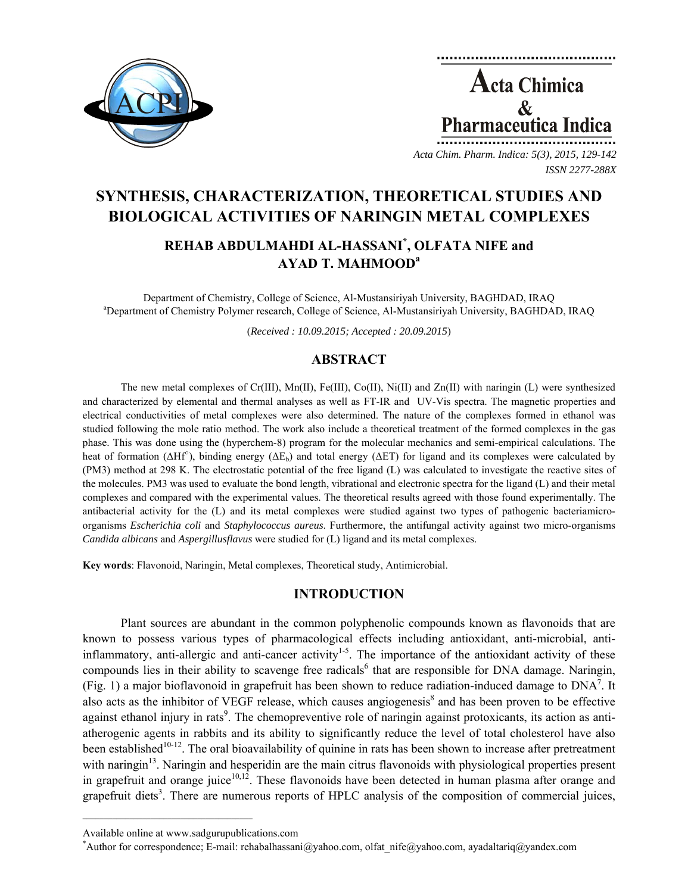



*Acta Chim. Pharm. Indica: 5(3), 2015, 129-142 ISSN 2277-288X*

# **SYNTHESIS, CHARACTERIZATION, THEORETICAL STUDIES AND BIOLOGICAL ACTIVITIES OF NARINGIN METAL COMPLEXES**

## **REHAB ABDULMAHDI AL-HASSANI\* , OLFATA NIFE and AYAD T. MAHMOODa**

Department of Chemistry, College of Science, Al-Mustansiriyah University, BAGHDAD, IRAQ a <sup>a</sup>Department of Chemistry Polymer research, College of Science, Al-Mustansiriyah University, BAGHDAD, IRAQ

(*Received : 10.09.2015; Accepted : 20.09.2015*)

## **ABSTRACT**

The new metal complexes of Cr(III), Mn(II), Fe(III), Co(II), Ni(II) and Zn(II) with naringin (L) were synthesized and characterized by elemental and thermal analyses as well as FT-IR and UV-Vis spectra. The magnetic properties and electrical conductivities of metal complexes were also determined. The nature of the complexes formed in ethanol was studied following the mole ratio method. The work also include a theoretical treatment of the formed complexes in the gas phase. This was done using the (hyperchem-8) program for the molecular mechanics and semi-empirical calculations. The heat of formation ( $\Delta Hf^{\circ}$ ), binding energy ( $\Delta E_b$ ) and total energy ( $\Delta ET$ ) for ligand and its complexes were calculated by (PM3) method at 298 K. The electrostatic potential of the free ligand (L) was calculated to investigate the reactive sites of the molecules. PM3 was used to evaluate the bond length, vibrational and electronic spectra for the ligand (L) and their metal complexes and compared with the experimental values. The theoretical results agreed with those found experimentally. The antibacterial activity for the (L) and its metal complexes were studied against two types of pathogenic bacteriamicroorganisms *Escherichia coli* and *Staphylococcus aureus*. Furthermore, the antifungal activity against two micro-organisms *Candida albicans* and *Aspergillusflavus* were studied for (L) ligand and its metal complexes.

**Key words**: Flavonoid, Naringin, Metal complexes, Theoretical study, Antimicrobial.

## **INTRODUCTION**

Plant sources are abundant in the common polyphenolic compounds known as flavonoids that are known to possess various types of pharmacological effects including antioxidant, anti-microbial, antiinflammatory, anti-allergic and anti-cancer activity<sup>1-5</sup>. The importance of the antioxidant activity of these compounds lies in their ability to scavenge free radicals<sup>6</sup> that are responsible for DNA damage. Naringin, (Fig. 1) a major bioflavonoid in grapefruit has been shown to reduce radiation-induced damage to  $DNA<sup>7</sup>$ . It also acts as the inhibitor of VEGF release, which causes angiogenesis<sup>8</sup> and has been proven to be effective against ethanol injury in rats<sup>9</sup>. The chemopreventive role of naringin against protoxicants, its action as antiatherogenic agents in rabbits and its ability to significantly reduce the level of total cholesterol have also been established<sup>10-12</sup>. The oral bioavailability of quinine in rats has been shown to increase after pretreatment with naringin<sup>13</sup>. Naringin and hesperidin are the main citrus flavonoids with physiological properties present in grapefruit and orange juice $10,12$ . These flavonoids have been detected in human plasma after orange and grapefruit diets<sup>3</sup>. There are numerous reports of HPLC analysis of the composition of commercial juices,

 $\mathcal{L}=\{1,2,3,4,5\}$ 

Available online at www.sadgurupublications.com \*

Author for correspondence; E-mail: rehabalhassani@yahoo.com, olfat nife@yahoo.com, ayadaltariq@yandex.com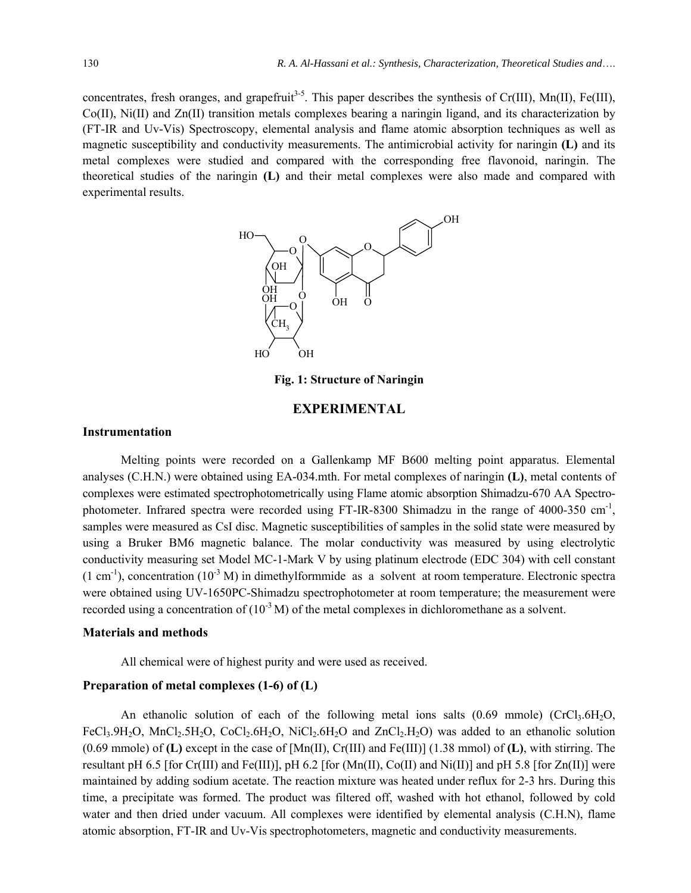concentrates, fresh oranges, and grapefruit<sup>3-5</sup>. This paper describes the synthesis of Cr(III), Mn(II), Fe(III), Co(II), Ni(II) and Zn(II) transition metals complexes bearing a naringin ligand, and its characterization by (FT-IR and Uv-Vis) Spectroscopy, elemental analysis and flame atomic absorption techniques as well as magnetic susceptibility and conductivity measurements. The antimicrobial activity for naringin **(L)** and its metal complexes were studied and compared with the corresponding free flavonoid, naringin. The theoretical studies of the naringin **(L)** and their metal complexes were also made and compared with experimental results.



**Fig. 1: Structure of Naringin** 

## **EXPERIMENTAL**

#### **Instrumentation**

Melting points were recorded on a Gallenkamp MF B600 melting point apparatus. Elemental analyses (C.H.N.) were obtained using EA-034.mth. For metal complexes of naringin **(L)**, metal contents of complexes were estimated spectrophotometrically using Flame atomic absorption Shimadzu-670 AA Spectrophotometer. Infrared spectra were recorded using FT-IR-8300 Shimadzu in the range of 4000-350  $\text{cm}^{-1}$ , samples were measured as CsI disc. Magnetic susceptibilities of samples in the solid state were measured by using a Bruker BM6 magnetic balance. The molar conductivity was measured by using electrolytic conductivity measuring set Model MC-1-Mark V by using platinum electrode (EDC 304) with cell constant  $(1 \text{ cm}^{-1})$ , concentration  $(10^{-3} \text{ M})$  in dimethylformmide as a solvent at room temperature. Electronic spectra were obtained using UV-1650PC-Shimadzu spectrophotometer at room temperature; the measurement were recorded using a concentration of  $(10^{-3} M)$  of the metal complexes in dichloromethane as a solvent.

#### **Materials and methods**

All chemical were of highest purity and were used as received.

#### **Preparation of metal complexes (1-6) of (L)**

An ethanolic solution of each of the following metal ions salts  $(0.69 \text{ mmole})$  (CrCl<sub>3</sub>.6H<sub>2</sub>O, FeCl<sub>3</sub>.9H<sub>2</sub>O, MnCl<sub>2</sub>.5H<sub>2</sub>O, CoCl<sub>2</sub>.6H<sub>2</sub>O, NiCl<sub>2</sub>.6H<sub>2</sub>O and ZnCl<sub>2</sub>.H<sub>2</sub>O) was added to an ethanolic solution (0.69 mmole) of **(L)** except in the case of [Mn(II), Cr(III) and Fe(III)] (1.38 mmol) of **(L)**, with stirring. The resultant pH 6.5 [for Cr(III) and Fe(III)], pH 6.2 [for (Mn(II), Co(II) and Ni(II)] and pH 5.8 [for Zn(II)] were maintained by adding sodium acetate. The reaction mixture was heated under reflux for 2-3 hrs. During this time, a precipitate was formed. The product was filtered off, washed with hot ethanol, followed by cold water and then dried under vacuum. All complexes were identified by elemental analysis (C.H.N), flame atomic absorption, FT-IR and Uv-Vis spectrophotometers, magnetic and conductivity measurements.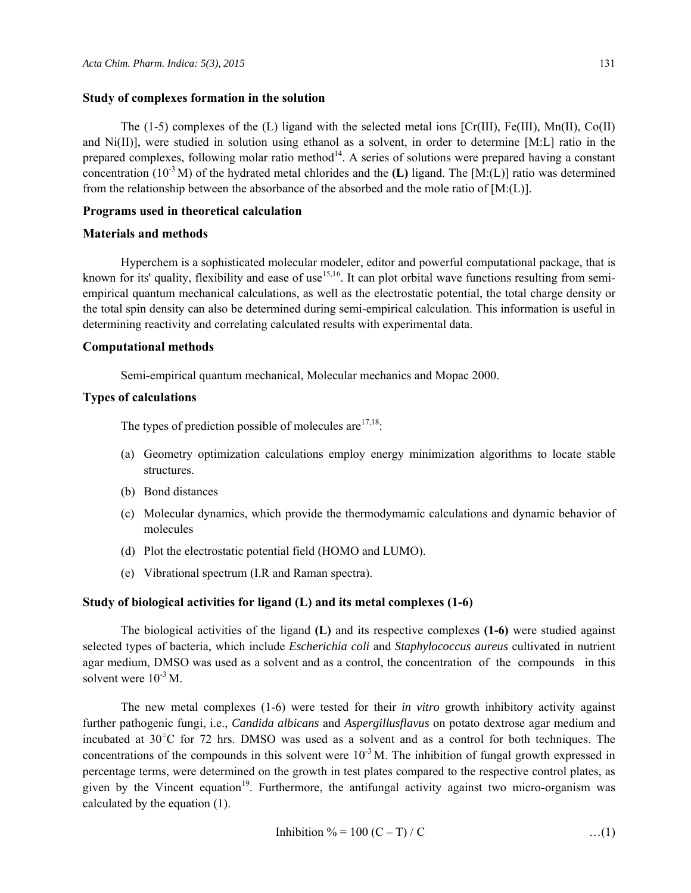#### **Study of complexes formation in the solution**

The (1-5) complexes of the (L) ligand with the selected metal ions  $[Cr(III), Fe(III), Mn(II), Co(II))$ and Ni(II)], were studied in solution using ethanol as a solvent, in order to determine [M:L] ratio in the prepared complexes, following molar ratio method<sup>14</sup>. A series of solutions were prepared having a constant concentration (10-3 M) of the hydrated metal chlorides and the **(L)** ligand. The [M:(L)] ratio was determined from the relationship between the absorbance of the absorbed and the mole ratio of  $[M:(L)]$ .

#### **Programs used in theoretical calculation**

#### **Materials and methods**

Hyperchem is a sophisticated molecular modeler, editor and powerful computational package, that is known for its' quality, flexibility and ease of use<sup>15,16</sup>. It can plot orbital wave functions resulting from semiempirical quantum mechanical calculations, as well as the electrostatic potential, the total charge density or the total spin density can also be determined during semi-empirical calculation. This information is useful in determining reactivity and correlating calculated results with experimental data.

#### **Computational methods**

Semi-empirical quantum mechanical, Molecular mechanics and Mopac 2000.

#### **Types of calculations**

The types of prediction possible of molecules are  $17,18$ :

- (a) Geometry optimization calculations employ energy minimization algorithms to locate stable structures.
- (b) Bond distances
- (c) Molecular dynamics, which provide the thermodymamic calculations and dynamic behavior of molecules
- (d) Plot the electrostatic potential field (HOMO and LUMO).
- (e) Vibrational spectrum (I.R and Raman spectra).

#### **Study of biological activities for ligand (L) and its metal complexes (1-6)**

The biological activities of the ligand **(L)** and its respective complexes **(1-6)** were studied against selected types of bacteria, which include *Escherichia coli* and *Staphylococcus aureus* cultivated in nutrient agar medium, DMSO was used as a solvent and as a control, the concentration of the compounds in this solvent were  $10^{-3}$  M.

The new metal complexes (1-6) were tested for their *in vitro* growth inhibitory activity against further pathogenic fungi, i.e., *Candida albicans* and *Aspergillusflavus* on potato dextrose agar medium and incubated at 30○ C for 72 hrs. DMSO was used as a solvent and as a control for both techniques. The concentrations of the compounds in this solvent were  $10^{-3}$  M. The inhibition of fungal growth expressed in percentage terms, were determined on the growth in test plates compared to the respective control plates, as given by the Vincent equation<sup>19</sup>. Furthermore, the antifungal activity against two micro-organism was calculated by the equation (1).

$$
Inhibition \% = 100 (C - T) / C
$$
...(1)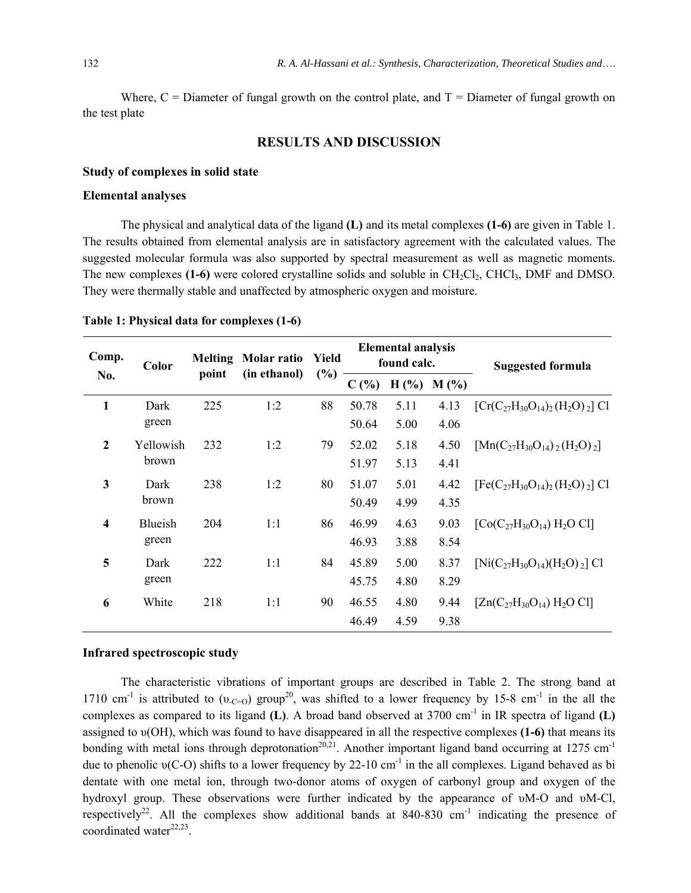Where,  $C =$  Diameter of fungal growth on the control plate, and  $T =$  Diameter of fungal growth on the test plate

## **RESULTS AND DISCUSSION**

#### **Study of complexes in solid state**

#### **Elemental analyses**

The physical and analytical data of the ligand **(L)** and its metal complexes **(1-6)** are given in Table 1. The results obtained from elemental analysis are in satisfactory agreement with the calculated values. The suggested molecular formula was also supported by spectral measurement as well as magnetic moments. The new complexes **(1-6)** were colored crystalline solids and soluble in CH<sub>2</sub>Cl<sub>2</sub>, CHCl<sub>3</sub>, DMF and DMSO. They were thermally stable and unaffected by atmospheric oxygen and moisture.

| Comp.                   | <b>Melting</b><br>Molar ratio<br>Yield<br>Color |       | <b>Elemental analysis</b><br>found calc. |     |       | <b>Suggested formula</b> |      |                                              |
|-------------------------|-------------------------------------------------|-------|------------------------------------------|-----|-------|--------------------------|------|----------------------------------------------|
| No.                     |                                                 | point | (in ethanol)                             | (%) | C(%)  | H(%)                     | M(%) |                                              |
| $\mathbf{1}$            | Dark                                            | 225   | 1:2                                      | 88  | 50.78 | 5.11                     | 4.13 | $[Cr(C_{27}H_{30}O_{14})_2(H_2O)_{2}]$ Cl    |
|                         | green                                           |       |                                          |     | 50.64 | 5.00                     | 4.06 |                                              |
| $\mathbf{2}$            | Yellowish                                       | 232   | 1:2                                      | 79  | 52.02 | 5.18                     | 4.50 | $[{\rm Mn}(C_{27}H_{30}O_{14})_2(H_2O)_{2}]$ |
|                         | brown                                           |       |                                          |     | 51.97 | 5.13                     | 4.41 |                                              |
| $\mathbf{3}$            | Dark                                            | 238   | 1:2                                      | 80  | 51.07 | 5.01                     | 4.42 | $[Fe(C_{27}H_{30}O_{14})_2(H_2O)_{2}]$ Cl    |
|                         | brown                                           |       |                                          |     | 50.49 | 4.99                     | 4.35 |                                              |
| $\overline{\mathbf{4}}$ | Blueish                                         | 204   | 1:1                                      | 86  | 46.99 | 4.63                     | 9.03 | $[Co(C_{27}H_{30}O_{14}) H_2O Cl]$           |
|                         | green                                           |       |                                          |     | 46.93 | 3.88                     | 8.54 |                                              |
| 5                       | Dark                                            | 222   | 1:1                                      | 84  | 45.89 | 5.00                     | 8.37 | $[Ni(C_{27}H_{30}O_{14})(H_2O)_{2}]$ Cl      |
|                         | green                                           |       |                                          |     | 45.75 | 4.80                     | 8.29 |                                              |
| 6                       | White                                           | 218   | 1:1                                      | 90  | 46.55 | 4.80                     | 9.44 | $[Zn(C_{27}H_{30}O_{14}) H_2O Cl]$           |
|                         |                                                 |       |                                          |     | 46.49 | 4.59                     | 9.38 |                                              |

**Table 1: Physical data for complexes (1-6)** 

#### **Infrared spectroscopic study**

The characteristic vibrations of important groups are described in Table 2. The strong band at 1710 cm<sup>-1</sup> is attributed to ( $v_{C=0}$ ) group<sup>20</sup>, was shifted to a lower frequency by 15-8 cm<sup>-1</sup> in the all the complexes as compared to its ligand **(L)**. A broad band observed at 3700 cm<sup>-1</sup> in IR spectra of ligand **(L)** assigned to υ(OH), which was found to have disappeared in all the respective complexes **(1-6)** that means its bonding with metal ions through deprotonation<sup>20,21</sup>. Another important ligand band occurring at 1275 cm<sup>-1</sup> due to phenolic  $v(C-O)$  shifts to a lower frequency by 22-10 cm<sup>-1</sup> in the all complexes. Ligand behaved as bi dentate with one metal ion, through two-donor atoms of oxygen of carbonyl group and oxygen of the hydroxyl group. These observations were further indicated by the appearance of υM-O and υM-Cl, respectively<sup>22</sup>. All the complexes show additional bands at  $840-830$  cm<sup>-1</sup> indicating the presence of coordinated water $22,23$ .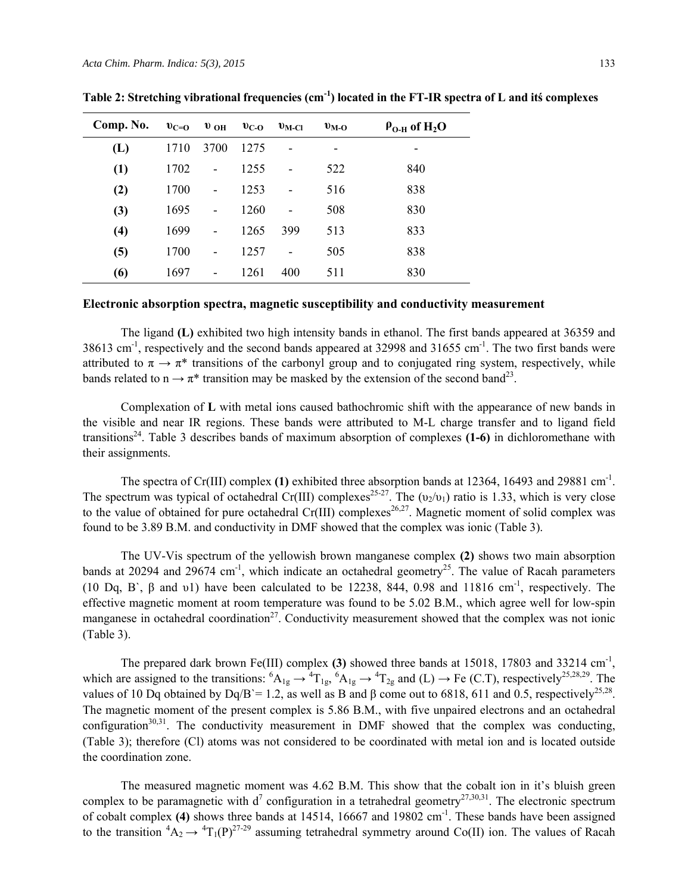| Comp. No. | $v_{C=0}$ | $\mathbf{v}_{\text{OH}}$     | $v_{C-O}$ | $v_{\rm M\text{-}Cl}$ | $v_{\rm M-O}$ | $\rho_{O-H}$ of H <sub>2</sub> O |
|-----------|-----------|------------------------------|-----------|-----------------------|---------------|----------------------------------|
| (L)       | 1710      | 3700                         | 1275      | ۰                     | -             | -                                |
| (1)       | 1702      | $\qquad \qquad \blacksquare$ | 1255      | ۰                     | 522           | 840                              |
| (2)       | 1700      | $\overline{a}$               | 1253      | -                     | 516           | 838                              |
| (3)       | 1695      |                              | 1260      | ۰                     | 508           | 830                              |
| (4)       | 1699      | -                            | 1265      | 399                   | 513           | 833                              |
| (5)       | 1700      |                              | 1257      | ۰                     | 505           | 838                              |
| (6)       | 1697      | ۰                            | 1261      | 400                   | 511           | 830                              |

**Table 2: Stretching vibrational frequencies (cm-1) located in the FT-IR spectra of L and itś complexes** 

## **Electronic absorption spectra, magnetic susceptibility and conductivity measurement**

The ligand **(L)** exhibited two high intensity bands in ethanol. The first bands appeared at 36359 and  $38613$  cm<sup>-1</sup>, respectively and the second bands appeared at  $32998$  and  $31655$  cm<sup>-1</sup>. The two first bands were attributed to  $\pi \to \pi^*$  transitions of the carbonyl group and to conjugated ring system, respectively, while bands related to  $n \rightarrow \pi^*$  transition may be masked by the extension of the second band<sup>23</sup>.

Complexation of **L** with metal ions caused bathochromic shift with the appearance of new bands in the visible and near IR regions. These bands were attributed to M-L charge transfer and to ligand field transitions24. Table 3 describes bands of maximum absorption of complexes **(1-6)** in dichloromethane with their assignments.

The spectra of Cr(III) complex **(1)** exhibited three absorption bands at 12364, 16493 and 29881 cm<sup>-1</sup>. The spectrum was typical of octahedral Cr(III) complexes<sup>25-27</sup>. The  $(v_2/v_1)$  ratio is 1.33, which is very close to the value of obtained for pure octahedral  $Cr(III)$  complexes<sup>26,27</sup>. Magnetic moment of solid complex was found to be 3.89 B.M. and conductivity in DMF showed that the complex was ionic (Table 3).

The UV-Vis spectrum of the yellowish brown manganese complex **(2)** shows two main absorption bands at 20294 and 29674 cm<sup>-1</sup>, which indicate an octahedral geometry<sup>25</sup>. The value of Racah parameters (10 Dq, B`,  $\beta$  and v1) have been calculated to be 12238, 844, 0.98 and 11816 cm<sup>-1</sup>, respectively. The effective magnetic moment at room temperature was found to be 5.02 B.M., which agree well for low-spin manganese in octahedral coordination<sup>27</sup>. Conductivity measurement showed that the complex was not ionic (Table 3).

The prepared dark brown Fe(III) complex **(3)** showed three bands at 15018, 17803 and 33214 cm-1, which are assigned to the transitions:  ${}^6A_{1g} \rightarrow {}^4T_{1g}$ ,  ${}^6A_{1g} \rightarrow {}^4T_{2g}$  and (L)  $\rightarrow$  Fe (C.T), respectively<sup>25,28,29</sup>. The values of 10 Dq obtained by Dq/B`= 1.2, as well as B and β come out to 6818, 611 and 0.5, respectively<sup>25,28</sup>. The magnetic moment of the present complex is 5.86 B.M., with five unpaired electrons and an octahedral configuration<sup>30,31</sup>. The conductivity measurement in DMF showed that the complex was conducting, (Table 3); therefore (Cl) atoms was not considered to be coordinated with metal ion and is located outside the coordination zone.

The measured magnetic moment was 4.62 B.M. This show that the cobalt ion in it's bluish green complex to be paramagnetic with  $d^7$  configuration in a tetrahedral geometry<sup>27,30,31</sup>. The electronic spectrum of cobalt complex **(4)** shows three bands at 14514, 16667 and 19802 cm<sup>-1</sup>. These bands have been assigned to the transition  ${}^4A_2 \rightarrow {}^4T_1(P)^{27-29}$  assuming tetrahedral symmetry around Co(II) ion. The values of Racah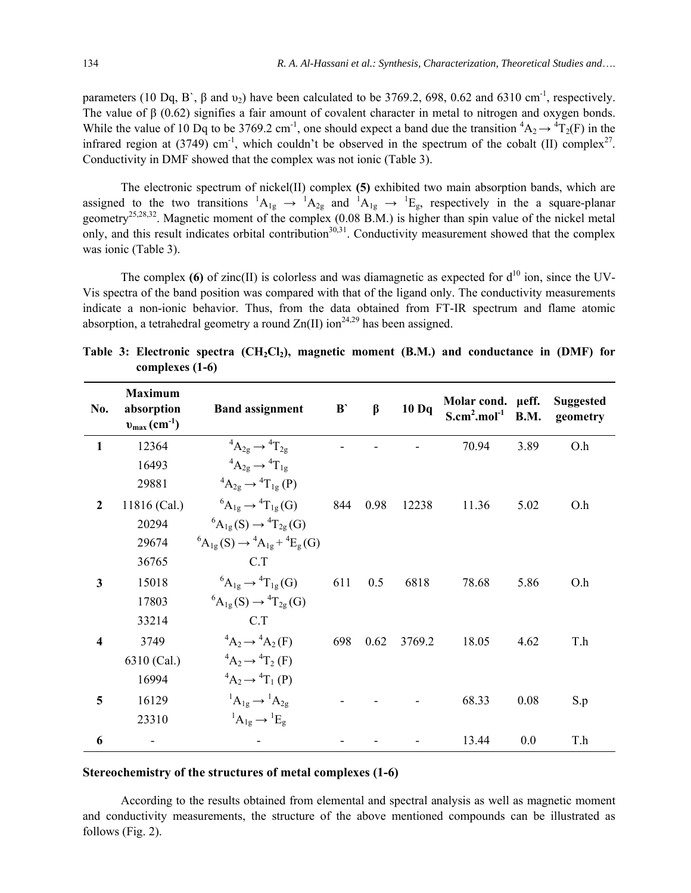parameters (10 Dq, B`,  $\beta$  and  $\nu_2$ ) have been calculated to be 3769.2, 698, 0.62 and 6310 cm<sup>-1</sup>, respectively. The value of β (0.62) signifies a fair amount of covalent character in metal to nitrogen and oxygen bonds. While the value of 10 Dq to be 3769.2 cm<sup>-1</sup>, one should expect a band due the transition  ${}^4A_2 \rightarrow {}^4T_2(F)$  in the infrared region at  $(3749)$  cm<sup>-1</sup>, which couldn't be observed in the spectrum of the cobalt (II) complex<sup>27</sup>. Conductivity in DMF showed that the complex was not ionic (Table 3).

The electronic spectrum of nickel(II) complex **(5)** exhibited two main absorption bands, which are assigned to the two transitions  ${}^1A_{1g} \rightarrow {}^1A_{2g}$  and  ${}^1A_{1g} \rightarrow {}^1E_g$ , respectively in the a square-planar geometry<sup>25,28,32</sup>. Magnetic moment of the complex (0.08 B.M.) is higher than spin value of the nickel metal only, and this result indicates orbital contribution<sup>30,31</sup>. Conductivity measurement showed that the complex was ionic (Table 3).

The complex  $(6)$  of zinc $(II)$  is colorless and was diamagnetic as expected for  $d^{10}$  ion, since the UV-Vis spectra of the band position was compared with that of the ligand only. The conductivity measurements indicate a non-ionic behavior. Thus, from the data obtained from FT-IR spectrum and flame atomic absorption, a tetrahedral geometry a round  $Zn(II)$  ion<sup>24,29</sup> has been assigned.

| No.                     | <b>Maximum</b><br>absorption<br>$v_{\text{max}}(\text{cm}^{-1})$ | <b>Band assignment</b>                                      | $B$ | $\beta$ | 10 <sub>Dq</sub> | Molar cond. µeff.<br>$S.cm2.mol-1$ | <b>B.M.</b> | <b>Suggested</b><br>geometry |
|-------------------------|------------------------------------------------------------------|-------------------------------------------------------------|-----|---------|------------------|------------------------------------|-------------|------------------------------|
| 1                       | 12364                                                            | ${}^4A_{29} \rightarrow {}^4T_{29}$                         |     |         |                  | 70.94                              | 3.89        | O.h                          |
|                         | 16493                                                            | ${}^4A_{2g} \rightarrow {}^4T_{1g}$                         |     |         |                  |                                    |             |                              |
|                         | 29881                                                            | ${}^{4}A_{2g} \rightarrow {}^{4}T_{1g} (P)$                 |     |         |                  |                                    |             |                              |
| $\overline{2}$          | 11816 (Cal.)                                                     | ${}^{6}A_{1g} \rightarrow {}^{4}T_{1g}(G)$                  | 844 | 0.98    | 12238            | 11.36                              | 5.02        | O.h                          |
|                         | 20294                                                            | ${}^{6}A_{1g}(S) \rightarrow {}^{4}T_{2g}(G)$               |     |         |                  |                                    |             |                              |
|                         | 29674                                                            | ${}^{6}A_{1g}(S) \rightarrow {}^{4}A_{1g} + {}^{4}E_{g}(G)$ |     |         |                  |                                    |             |                              |
|                         | 36765                                                            | C.T                                                         |     |         |                  |                                    |             |                              |
| $\overline{\mathbf{3}}$ | 15018                                                            | ${}^6A_{1g} \rightarrow {}^4T_{1g}(G)$                      | 611 | 0.5     | 6818             | 78.68                              | 5.86        | O.h                          |
|                         | 17803                                                            | ${}^{6}A_{1g}(S) \rightarrow {}^{4}T_{2g}(G)$               |     |         |                  |                                    |             |                              |
|                         | 33214                                                            | C.T                                                         |     |         |                  |                                    |             |                              |
| 4                       | 3749                                                             | ${}^4A_2 \rightarrow {}^4A_2(F)$                            | 698 | 0.62    | 3769.2           | 18.05                              | 4.62        | T.h                          |
|                         | 6310 (Cal.)                                                      | ${}^4A_2 \rightarrow {}^4T_2$ (F)                           |     |         |                  |                                    |             |                              |
|                         | 16994                                                            | ${}^4A_2 \rightarrow {}^4T_1(P)$                            |     |         |                  |                                    |             |                              |
| 5                       | 16129                                                            | ${}^1A_{1g} \rightarrow {}^1A_{2g}$                         |     |         |                  | 68.33                              | 0.08        | S.p                          |
|                         | 23310                                                            | ${}^1A_{1g} \rightarrow {}^1E_g$                            |     |         |                  |                                    |             |                              |
| 6                       |                                                                  |                                                             |     |         |                  | 13.44                              | 0.0         | T.h                          |

Table 3: Electronic spectra (CH<sub>2</sub>Cl<sub>2</sub>), magnetic moment (B.M.) and conductance in (DMF) for **complexes (1-6)** 

#### **Stereochemistry of the structures of metal complexes (1-6)**

According to the results obtained from elemental and spectral analysis as well as magnetic moment and conductivity measurements, the structure of the above mentioned compounds can be illustrated as follows (Fig. 2).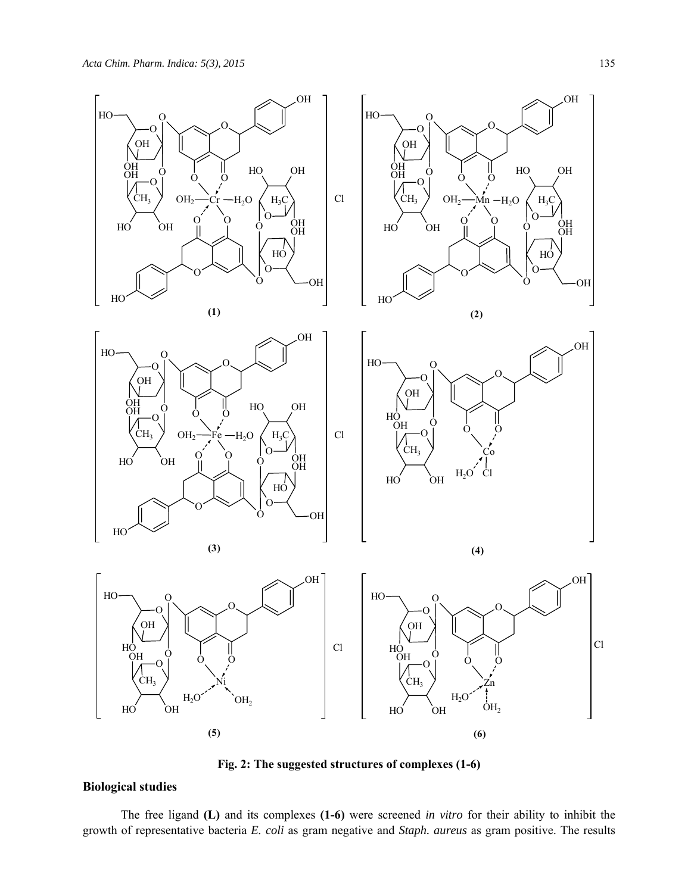

**Fig. 2: The suggested structures of complexes (1-6)** 

## **Biological studies**

The free ligand **(L)** and its complexes **(1-6)** were screened *in vitro* for their ability to inhibit the growth of representative bacteria *E. coli* as gram negative and *Staph. aureus* as gram positive. The results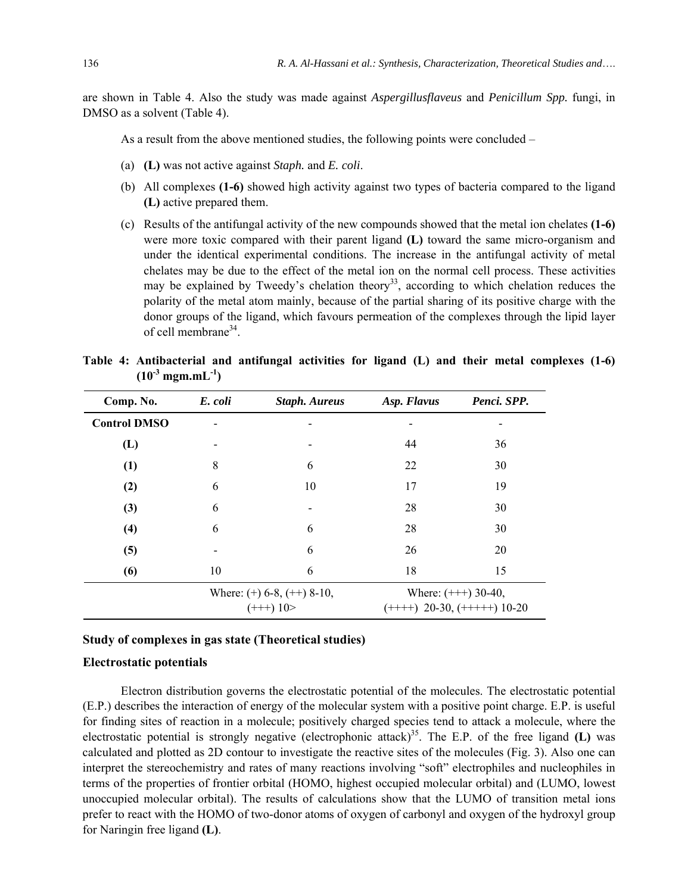are shown in Table 4. Also the study was made against *Aspergillusflaveus* and *Penicillum Spp.* fungi, in DMSO as a solvent (Table 4).

As a result from the above mentioned studies, the following points were concluded –

- (a) **(L)** was not active against *Staph.* and *E. coli*.
- (b) All complexes **(1-6)** showed high activity against two types of bacteria compared to the ligand **(L)** active prepared them.
- (c) Results of the antifungal activity of the new compounds showed that the metal ion chelates **(1-6)** were more toxic compared with their parent ligand **(L)** toward the same micro-organism and under the identical experimental conditions. The increase in the antifungal activity of metal chelates may be due to the effect of the metal ion on the normal cell process. These activities may be explained by Tweedy's chelation theory<sup>33</sup>, according to which chelation reduces the polarity of the metal atom mainly, because of the partial sharing of its positive charge with the donor groups of the ligand, which favours permeation of the complexes through the lipid layer of cell membrane $34$ .

|  | Table 4: Antibacterial and antifungal activities for ligand (L) and their metal complexes (1-6) |  |  |  |  |  |  |
|--|-------------------------------------------------------------------------------------------------|--|--|--|--|--|--|
|  | $(10^{-3} \text{ mgm.mL}^{-1})$                                                                 |  |  |  |  |  |  |

| Comp. No.           | E. coli | <b>Staph. Aureus</b>                       | Asp. Flavus                                           | Penci. SPP. |
|---------------------|---------|--------------------------------------------|-------------------------------------------------------|-------------|
| <b>Control DMSO</b> |         |                                            |                                                       |             |
| (L)                 |         |                                            | 44                                                    | 36          |
| (1)                 | 8       | 6                                          | 22                                                    | 30          |
| (2)                 | 6       | 10                                         | 17                                                    | 19          |
| (3)                 | 6       |                                            | 28                                                    | 30          |
| (4)                 | 6       | 6                                          | 28                                                    | 30          |
| (5)                 |         | 6                                          | 26                                                    | 20          |
| (6)                 | 10      | 6                                          | 18                                                    | 15          |
|                     |         | Where: $(+) 6-8, (++) 8-10,$<br>$(++) 10>$ | Where: $(++) 30-40,$<br>$(+++)$ 20-30, $(++++)$ 10-20 |             |

#### **Study of complexes in gas state (Theoretical studies)**

#### **Electrostatic potentials**

Electron distribution governs the electrostatic potential of the molecules. The electrostatic potential (E.P.) describes the interaction of energy of the molecular system with a positive point charge. E.P. is useful for finding sites of reaction in a molecule; positively charged species tend to attack a molecule, where the electrostatic potential is strongly negative (electrophonic attack)<sup>35</sup>. The E.P. of the free ligand  $(L)$  was calculated and plotted as 2D contour to investigate the reactive sites of the molecules (Fig. 3). Also one can interpret the stereochemistry and rates of many reactions involving "soft" electrophiles and nucleophiles in terms of the properties of frontier orbital (HOMO, highest occupied molecular orbital) and (LUMO, lowest unoccupied molecular orbital). The results of calculations show that the LUMO of transition metal ions prefer to react with the HOMO of two-donor atoms of oxygen of carbonyl and oxygen of the hydroxyl group for Naringin free ligand **(L)**.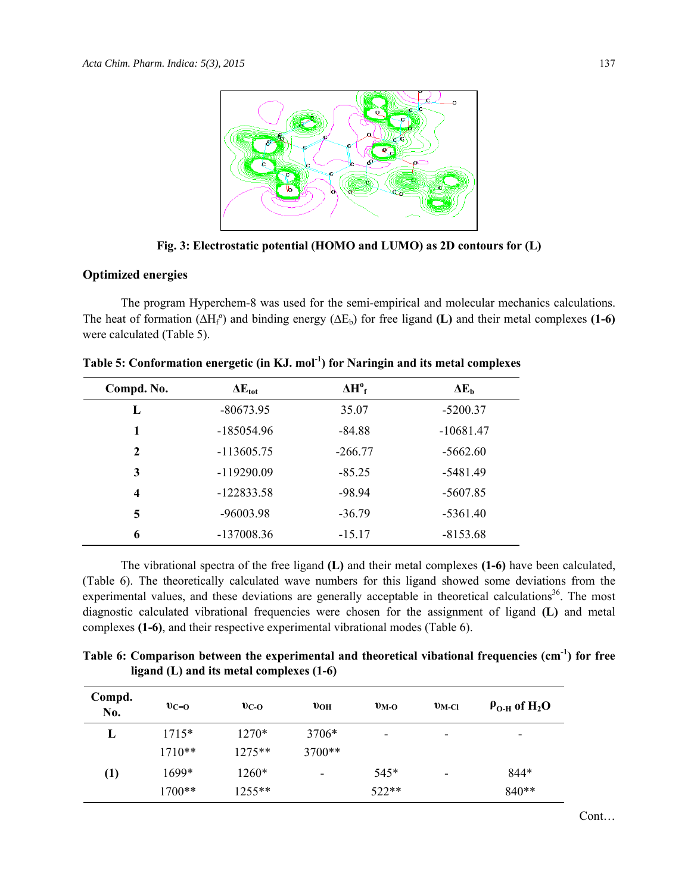

**Fig. 3: Electrostatic potential (HOMO and LUMO) as 2D contours for (L)** 

### **Optimized energies**

The program Hyperchem-8 was used for the semi-empirical and molecular mechanics calculations. The heat of formation  $(\Delta H_f^{\circ})$  and binding energy  $(\Delta E_b)$  for free ligand **(L)** and their metal complexes **(1-6)** were calculated (Table 5).

| Compd. No.   | $\Delta E_{\rm tot}$ | $\Delta H^{\circ}$ <sub>f</sub> | $\Delta E_b$ |
|--------------|----------------------|---------------------------------|--------------|
| L            | $-80673.95$          | 35.07                           | $-5200.37$   |
| 1            | $-185054.96$         | $-84.88$                        | $-10681.47$  |
| $\mathbf{2}$ | $-113605.75$         | $-266.77$                       | $-5662.60$   |
| 3            | $-119290.09$         | $-85.25$                        | -5481.49     |
| 4            | $-122833.58$         | $-98.94$                        | $-5607.85$   |
| 5            | $-96003.98$          | $-36.79$                        | $-5361.40$   |
| 6            | $-137008.36$         | $-15.17$                        | $-8153.68$   |

**Table 5: Conformation energetic (in KJ. mol-1) for Naringin and its metal complexes** 

The vibrational spectra of the free ligand **(L)** and their metal complexes **(1-6)** have been calculated, (Table 6). The theoretically calculated wave numbers for this ligand showed some deviations from the experimental values, and these deviations are generally acceptable in theoretical calculations<sup>36</sup>. The most diagnostic calculated vibrational frequencies were chosen for the assignment of ligand **(L)** and metal complexes **(1-6)**, and their respective experimental vibrational modes (Table 6).

Table 6: Comparison between the experimental and theoretical vibational frequencies (cm<sup>-1</sup>) for free **ligand (L) and its metal complexes (1-6)** 

| Compd.<br>No. | $v_{C=0}$ | $v_{C-O}$ | $v_{OH}$ | $v_{M-O}$ | $v_{\text{M-Cl}}$        | $\rho_{O-H}$ of H <sub>2</sub> O |
|---------------|-----------|-----------|----------|-----------|--------------------------|----------------------------------|
| L             | $1715*$   | 1270*     | 3706*    | ۰         | $\overline{\phantom{0}}$ | ٠                                |
|               | $1710**$  | $1275**$  | $3700**$ |           |                          |                                  |
| (1)           | $1699*$   | 1260*     | ۰        | $545*$    | -                        | 844*                             |
|               | 1700**    | $1255***$ |          | 522**     |                          | 840**                            |

Cont…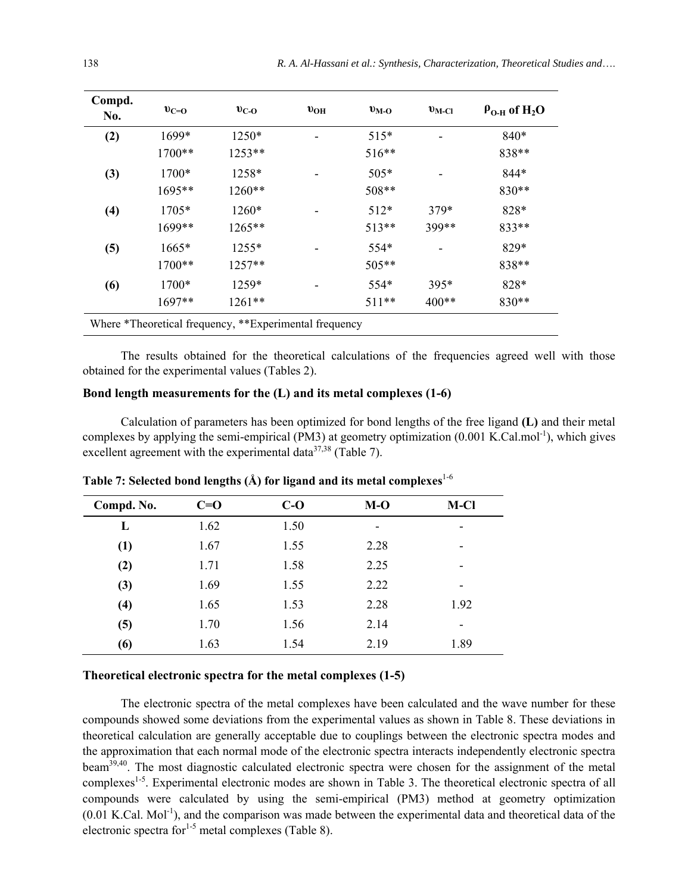| Compd.<br>No.    | $v_{C=0}$                                              | $v_{C-O}$ | $v_{OH}$ | $v_{\rm M-O}$ | $v_{\text{M-Cl}}$ | $\rho_{O-H}$ of H <sub>2</sub> O |  |  |
|------------------|--------------------------------------------------------|-----------|----------|---------------|-------------------|----------------------------------|--|--|
| (2)              | 1699*                                                  | 1250*     |          | $515*$        |                   | $840*$                           |  |  |
|                  | $1700**$                                               | $1253**$  |          | $516**$       |                   | 838**                            |  |  |
| (3)              | $1700*$                                                | $1258*$   |          | $505*$        |                   | $844*$                           |  |  |
|                  | $1695**$                                               | 1260**    |          | 508**         |                   | $830**$                          |  |  |
| $\left(4\right)$ | $1705*$                                                | $1260*$   |          | $512*$        | $379*$            | $828*$                           |  |  |
|                  | 1699**                                                 | 1265**    |          | $513**$       | 399**             | $833**$                          |  |  |
| (5)              | $1665*$                                                | $1255*$   |          | 554*          |                   | $829*$                           |  |  |
|                  | 1700**                                                 | $1257**$  |          | 505**         |                   | 838**                            |  |  |
| (6)              | $1700*$                                                | 1259*     |          | $554*$        | $395*$            | 828*                             |  |  |
|                  | $1697**$                                               | 1261**    |          | $511**$       | $400**$           | 830**                            |  |  |
|                  | Where *Theoretical frequency, **Experimental frequency |           |          |               |                   |                                  |  |  |

The results obtained for the theoretical calculations of the frequencies agreed well with those obtained for the experimental values (Tables 2).

## **Bond length measurements for the (L) and its metal complexes (1-6)**

Calculation of parameters has been optimized for bond lengths of the free ligand **(L)** and their metal complexes by applying the semi-empirical (PM3) at geometry optimization (0.001 K.Cal.mol<sup>-1</sup>), which gives excellent agreement with the experimental data<sup>37,38</sup> (Table 7).

| Compd. No. | $C=0$ | $C-O$ | $M-O$ | M-Cl                     |
|------------|-------|-------|-------|--------------------------|
| L          | 1.62  | 1.50  |       | ٠                        |
| (1)        | 1.67  | 1.55  | 2.28  | -                        |
| (2)        | 1.71  | 1.58  | 2.25  | ٠                        |
| (3)        | 1.69  | 1.55  | 2.22  | ٠                        |
| (4)        | 1.65  | 1.53  | 2.28  | 1.92                     |
| (5)        | 1.70  | 1.56  | 2.14  | $\overline{\phantom{0}}$ |
| (6)        | 1.63  | 1.54  | 2.19  | 1.89                     |

**Table 7: Selected bond lengths (Å) for ligand and its metal complexes**1-6

## **Theoretical electronic spectra for the metal complexes (1-5)**

The electronic spectra of the metal complexes have been calculated and the wave number for these compounds showed some deviations from the experimental values as shown in Table 8. These deviations in theoretical calculation are generally acceptable due to couplings between the electronic spectra modes and the approximation that each normal mode of the electronic spectra interacts independently electronic spectra beam<sup>39,40</sup>. The most diagnostic calculated electronic spectra were chosen for the assignment of the metal complexes<sup>1-5</sup>. Experimental electronic modes are shown in Table 3. The theoretical electronic spectra of all compounds were calculated by using the semi-empirical (PM3) method at geometry optimization  $(0.01 \text{ K.}$ Cal. Mol<sup>-1</sup>), and the comparison was made between the experimental data and theoretical data of the electronic spectra for $1-5$  metal complexes (Table 8).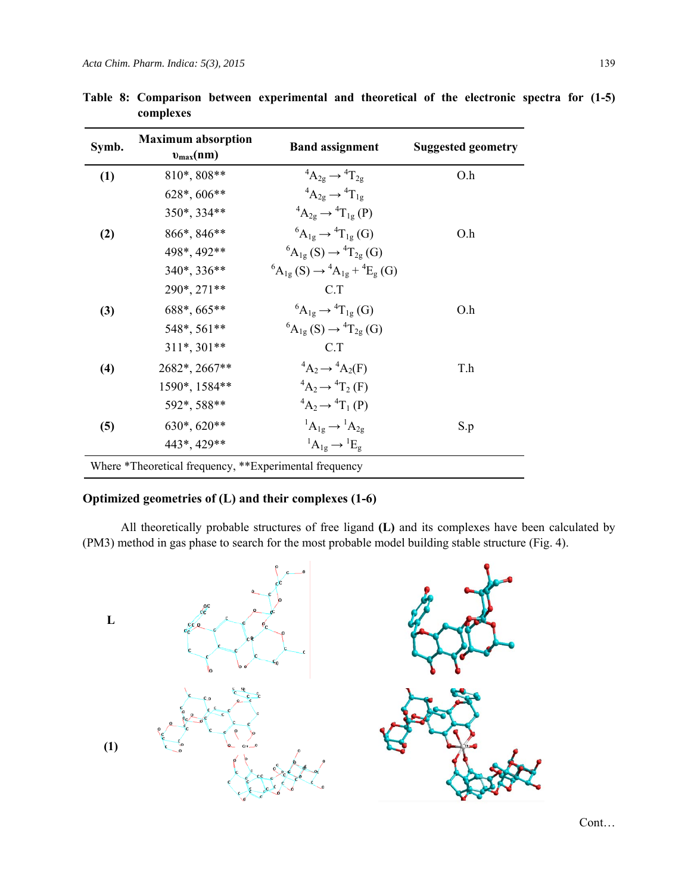| Symb. | <b>Maximum absorption</b><br>$v_{\text{max}}(nm)$      | <b>Band assignment</b>                                      | <b>Suggested geometry</b> |
|-------|--------------------------------------------------------|-------------------------------------------------------------|---------------------------|
| (1)   | 810*, 808**                                            | ${}^4A_{2g} \rightarrow {}^4T_{2g}$                         | O.h                       |
|       | $628^*$ , 606**                                        | ${}^4A_{2g} \rightarrow {}^4T_{1g}$                         |                           |
|       | 350*, 334**                                            | ${}^4A_{2g} \rightarrow {}^4T_{1g} (P)$                     |                           |
| (2)   | 866*, 846**                                            | ${}^6A_{1g} \rightarrow {}^4T_{1g}$ (G)                     | O.h                       |
|       | 498*, 492**                                            | ${}^{6}A_{1g}(S) \rightarrow {}^{4}T_{2g}(G)$               |                           |
|       | 340*, 336**                                            | ${}^{6}A_{1g}(S) \rightarrow {}^{4}A_{1g} + {}^{4}E_{g}(G)$ |                           |
|       | 290*, 271**                                            | C T                                                         |                           |
| (3)   | 688*, 665**                                            | ${}^6A_{1g} \rightarrow {}^4T_{1g}$ (G)                     | O.h                       |
|       | 548*, 561**                                            | ${}^{6}A_{1g}(S) \rightarrow {}^{4}T_{2g}(G)$               |                           |
|       | $311*, 301**$                                          | C.T                                                         |                           |
| (4)   | 2682*, 2667**                                          | ${}^4A_2 \rightarrow {}^4A_2(F)$                            | T.h                       |
|       | 1590*, 1584**                                          | ${}^4A_2 \rightarrow {}^4T_2$ (F)                           |                           |
|       | 592*, 588**                                            | ${}^4A_2 \rightarrow {}^4T_1(P)$                            |                           |
| (5)   | 630*, 620**                                            | ${}^1A_{1g} \rightarrow {}^1A_{2g}$                         | S.p                       |
|       | 443*, 429**                                            | ${}^1A_{1g} \rightarrow {}^1E_g$                            |                           |
|       | Where *Theoretical frequency, **Experimental frequency |                                                             |                           |

**Table 8: Comparison between experimental and theoretical of the electronic spectra for (1-5) complexes** 

## **Optimized geometries of (L) and their complexes (1-6)**

All theoretically probable structures of free ligand **(L)** and its complexes have been calculated by (PM3) method in gas phase to search for the most probable model building stable structure (Fig. 4).



Cont…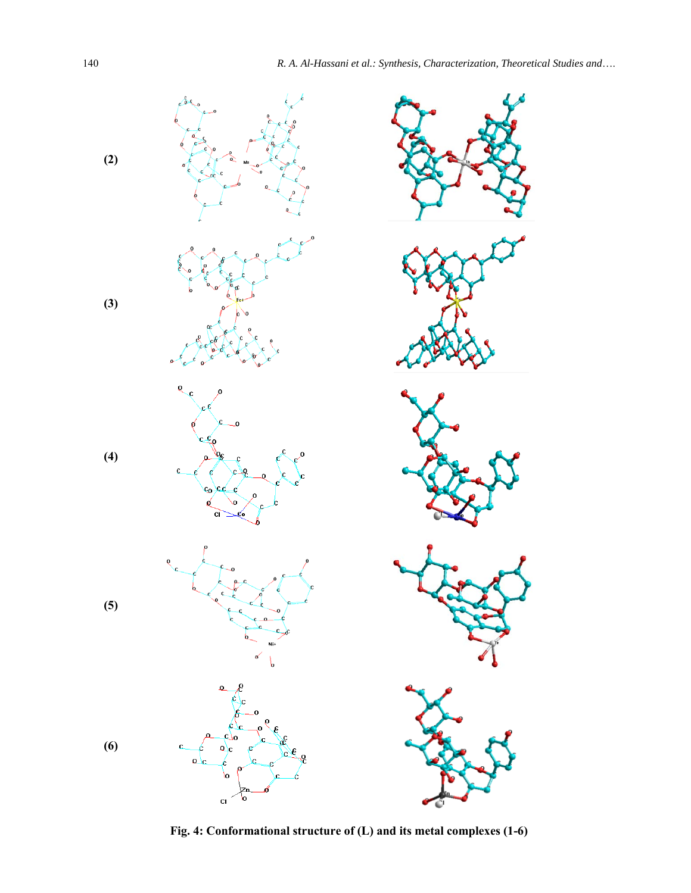

**Fig. 4: Conformational structure of (L) and its metal complexes (1-6)**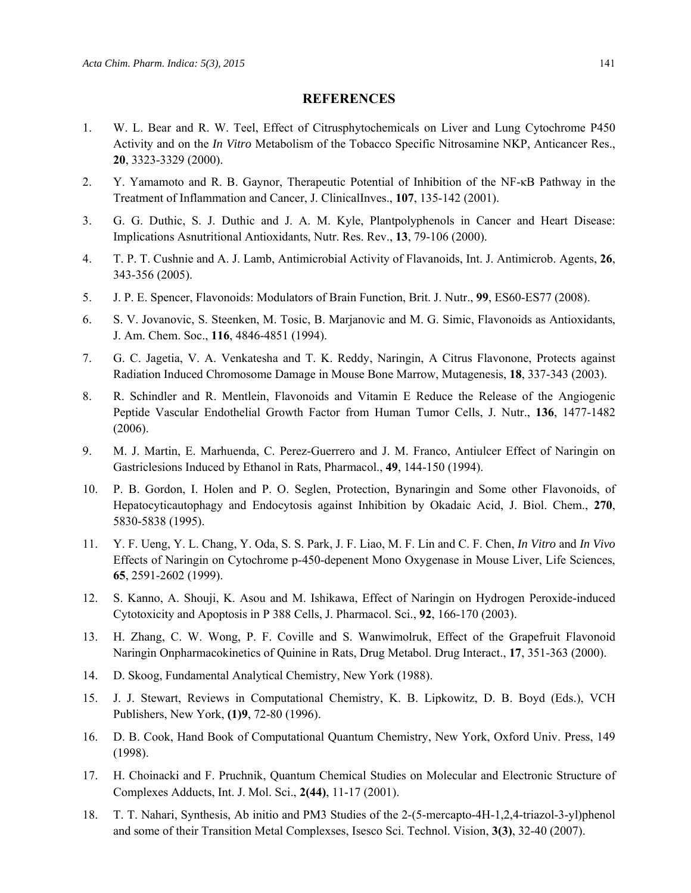#### **REFERENCES**

- 1. W. L. Bear and R. W. Teel, Effect of Citrusphytochemicals on Liver and Lung Cytochrome P450 Activity and on the *In Vitro* Metabolism of the Tobacco Specific Nitrosamine NKP, Anticancer Res., **20**, 3323-3329 (2000).
- 2. Y. Yamamoto and R. B. Gaynor, Therapeutic Potential of Inhibition of the NF-κB Pathway in the Treatment of Inflammation and Cancer, J. ClinicalInves., **107**, 135-142 (2001).
- 3. G. G. Duthic, S. J. Duthic and J. A. M. Kyle, Plantpolyphenols in Cancer and Heart Disease: Implications Asnutritional Antioxidants, Nutr. Res. Rev., **13**, 79-106 (2000).
- 4. T. P. T. Cushnie and A. J. Lamb, Antimicrobial Activity of Flavanoids, Int. J. Antimicrob. Agents, **26**, 343-356 (2005).
- 5. J. P. E. Spencer, Flavonoids: Modulators of Brain Function, Brit. J. Nutr., **99**, ES60-ES77 (2008).
- 6. S. V. Jovanovic, S. Steenken, M. Tosic, B. Marjanovic and M. G. Simic, Flavonoids as Antioxidants, J. Am. Chem. Soc., **116**, 4846-4851 (1994).
- 7. G. C. Jagetia, V. A. Venkatesha and T. K. Reddy, Naringin, A Citrus Flavonone, Protects against Radiation Induced Chromosome Damage in Mouse Bone Marrow, Mutagenesis, **18**, 337-343 (2003).
- 8. R. Schindler and R. Mentlein, Flavonoids and Vitamin E Reduce the Release of the Angiogenic Peptide Vascular Endothelial Growth Factor from Human Tumor Cells, J. Nutr., **136**, 1477-1482 (2006).
- 9. M. J. Martin, E. Marhuenda, C. Perez-Guerrero and J. M. Franco, Antiulcer Effect of Naringin on Gastriclesions Induced by Ethanol in Rats, Pharmacol., **49**, 144-150 (1994).
- 10. P. B. Gordon, I. Holen and P. O. Seglen, Protection, Bynaringin and Some other Flavonoids, of Hepatocyticautophagy and Endocytosis against Inhibition by Okadaic Acid, J. Biol. Chem., **270**, 5830-5838 (1995).
- 11. Y. F. Ueng, Y. L. Chang, Y. Oda, S. S. Park, J. F. Liao, M. F. Lin and C. F. Chen, *In Vitro* and *In Vivo* Effects of Naringin on Cytochrome p-450-depenent Mono Oxygenase in Mouse Liver, Life Sciences, **65**, 2591-2602 (1999).
- 12. S. Kanno, A. Shouji, K. Asou and M. Ishikawa, Effect of Naringin on Hydrogen Peroxide-induced Cytotoxicity and Apoptosis in P 388 Cells, J. Pharmacol. Sci., **92**, 166-170 (2003).
- 13. H. Zhang, C. W. Wong, P. F. Coville and S. Wanwimolruk, Effect of the Grapefruit Flavonoid Naringin Onpharmacokinetics of Quinine in Rats, Drug Metabol. Drug Interact., **17**, 351-363 (2000).
- 14. D. Skoog, Fundamental Analytical Chemistry, New York (1988).
- 15. J. J. Stewart, Reviews in Computational Chemistry, K. B. Lipkowitz, D. B. Boyd (Eds.), VCH Publishers, New York, **(1)9**, 72-80 (1996).
- 16. D. B. Cook, Hand Book of Computational Quantum Chemistry, New York, Oxford Univ. Press, 149 (1998).
- 17. H. Choinacki and F. Pruchnik, Quantum Chemical Studies on Molecular and Electronic Structure of Complexes Adducts, Int. J. Mol. Sci., **2(44)**, 11-17 (2001).
- 18. T. T. Nahari, Synthesis, Ab initio and PM3 Studies of the 2-(5-mercapto-4H-1,2,4-triazol-3-yl)phenol and some of their Transition Metal Complexses, Isesco Sci. Technol. Vision, **3(3)**, 32-40 (2007).